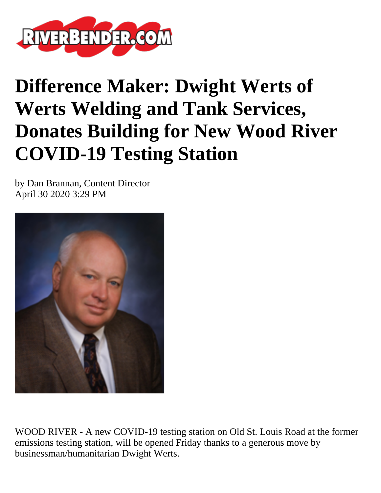

## **Difference Maker: Dwight Werts of Werts Welding and Tank Services, Donates Building for New Wood River COVID-19 Testing Station**

by Dan Brannan, Content Director April 30 2020 3:29 PM



WOOD RIVER - A new COVID-19 testing station on Old St. Louis Road at the former emissions testing station, will be opened Friday thanks to a generous move by businessman/humanitarian Dwight Werts.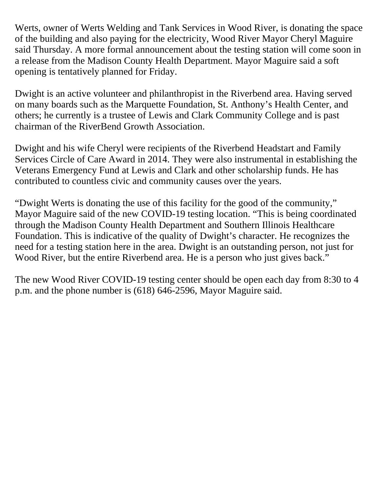Werts, owner of Werts Welding and Tank Services in Wood River, is donating the space of the building and also paying for the electricity, Wood River Mayor Cheryl Maguire said Thursday. A more formal announcement about the testing station will come soon in a release from the Madison County Health Department. Mayor Maguire said a soft opening is tentatively planned for Friday.

Dwight is an active volunteer and philanthropist in the Riverbend area. Having served on many boards such as the Marquette Foundation, St. Anthony's Health Center, and others; he currently is a trustee of Lewis and Clark Community College and is past chairman of the RiverBend Growth Association.

Dwight and his wife Cheryl were recipients of the Riverbend Headstart and Family Services Circle of Care Award in 2014. They were also instrumental in establishing the Veterans Emergency Fund at Lewis and Clark and other scholarship funds. He has contributed to countless civic and community causes over the years.

"Dwight Werts is donating the use of this facility for the good of the community," Mayor Maguire said of the new COVID-19 testing location. "This is being coordinated through the Madison County Health Department and Southern Illinois Healthcare Foundation. This is indicative of the quality of Dwight's character. He recognizes the need for a testing station here in the area. Dwight is an outstanding person, not just for Wood River, but the entire Riverbend area. He is a person who just gives back."

The new Wood River COVID-19 testing center should be open each day from 8:30 to 4 p.m. and the phone number is (618) 646-2596, Mayor Maguire said.